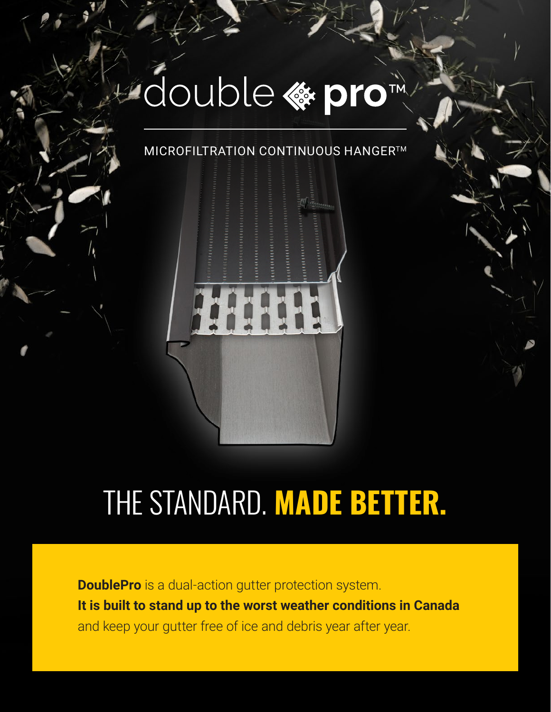# L'adouble « pro

#### **MICROFILTRATION CONTINUOUS HANGER™**



# THE STANDARD. **MADE BETTER.**

**DoublePro** is a dual-action gutter protection system. **It is built to stand up to the worst weather conditions in Canada** and keep your gutter free of ice and debris year after year.